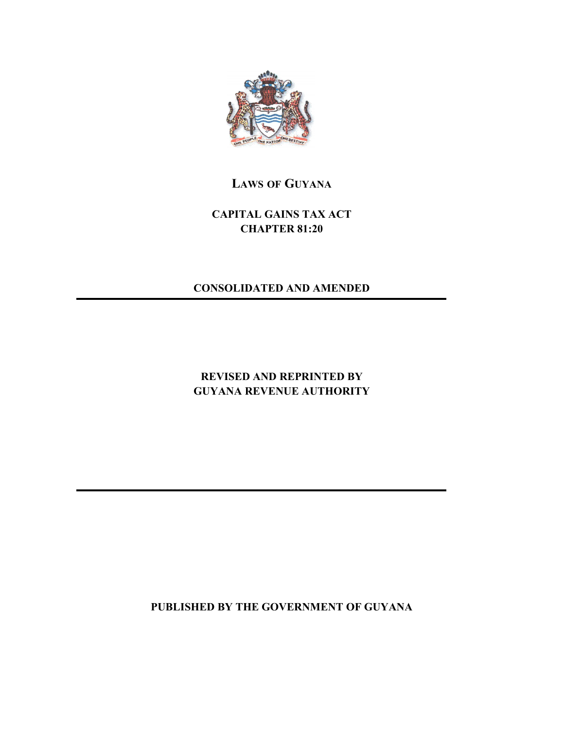

# **LAWS OF GUYANA**

# **CAPITAL GAINS TAX ACT CHAPTER 81:20**

## **CONSOLIDATED AND AMENDED**

# **REVISED AND REPRINTED BY GUYANA REVENUE AUTHORITY**

**PUBLISHED BY THE GOVERNMENT OF GUYANA**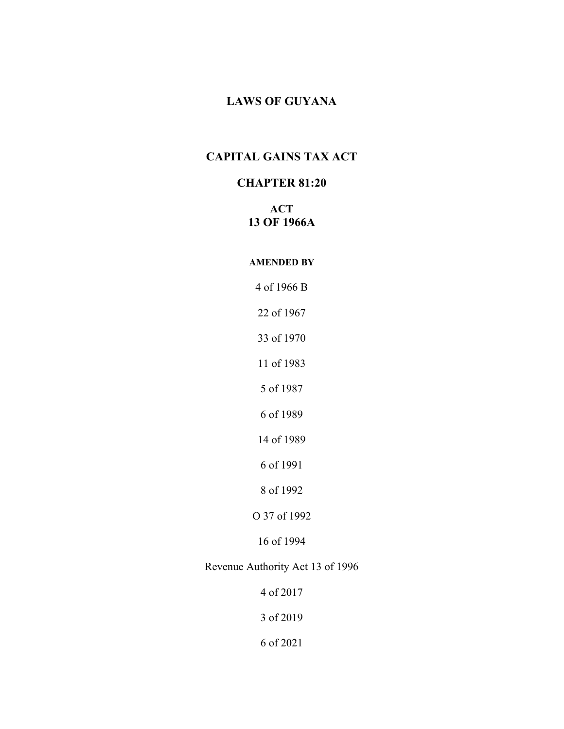## **LAWS OF GUYANA**

## **CAPITAL GAINS TAX ACT**

## **CHAPTER 81:20**

## **ACT OF 1966A**

#### **AMENDED BY**

of 1966 B

of 1967

of 1970

of 1983

of 1987

of 1989

of 1989

of 1991

of 1992

O 37 of 1992

of 1994

Revenue Authority Act 13 of 1996

of 2017

of 2019

of 2021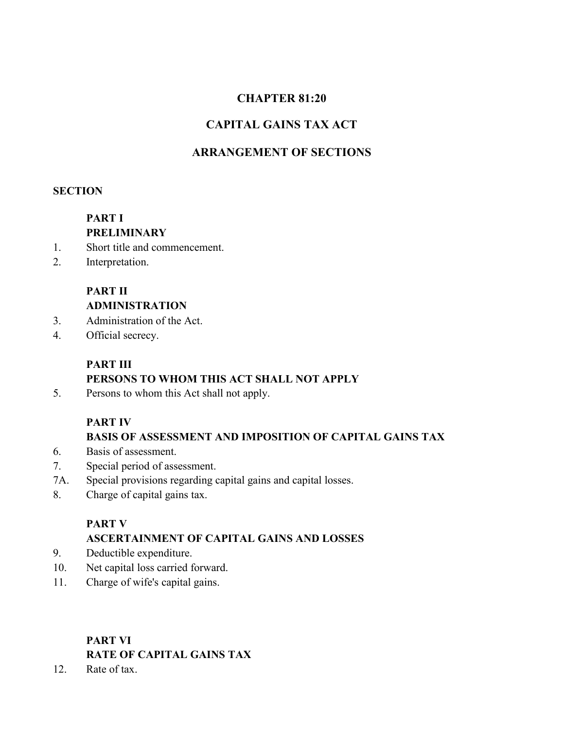# **CHAPTER 81:20**

## **CAPITAL GAINS TAX ACT**

## **ARRANGEMENT OF SECTIONS**

## **SECTION**

## **PART I PRELIMINARY**

- 1. Short title and commencement.
- 2. Interpretation.

## **PART II ADMINISTRATION**

- 3. Administration of the Act.
- 4. Official secrecy.

# **PART III PERSONS TO WHOM THIS ACT SHALL NOT APPLY**

5. Persons to whom this Act shall not apply.

## **PART IV**

## **BASIS OF ASSESSMENT AND IMPOSITION OF CAPITAL GAINS TAX**

- 6. Basis of assessment.
- 7. Special period of assessment.
- 7A. Special provisions regarding capital gains and capital losses.
- 8. Charge of capital gains tax.

## **PART V**

## **ASCERTAINMENT OF CAPITAL GAINS AND LOSSES**

- 9. Deductible expenditure.
- 10. Net capital loss carried forward.
- 11. Charge of wife's capital gains.

# **PART VI RATE OF CAPITAL GAINS TAX**

12. Rate of tax.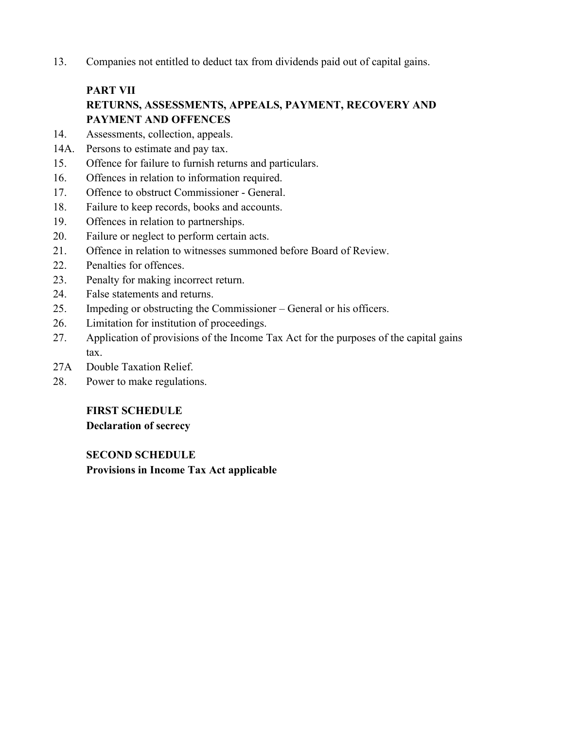13. Companies not entitled to deduct tax from dividends paid out of capital gains.

# **PART VII RETURNS, ASSESSMENTS, APPEALS, PAYMENT, RECOVERY AND PAYMENT AND OFFENCES**

- 14. Assessments, collection, appeals.
- 14A. Persons to estimate and pay tax.
- 15. Offence for failure to furnish returns and particulars.<br>16. Offences in relation to information required.
- 
- 17. Offence to obstruct Commissioner General.
- 18. Failure to keep records, books and accounts.
- 19. Offences in relation to partnerships.
- 20. Failure or neglect to perform certain acts.
- 21. Offence in relation to witnesses summoned before Board of Review.
- 22. Penalties for offences.
- 23. Penalty for making incorrect return.
- 24. False statements and returns.
- 25. Impeding or obstructing the Commissioner General or his officers.
- 26. Limitation for institution of proceedings.
- 27. Application of provisions of the Income Tax Act for the purposes of the capital gains tax.
- 27A Double Taxation Relief.
- 28. Power to make regulations.

## **FIRST SCHEDULE**

**Declaration of secrecy**

**SECOND SCHEDULE Provisions in Income Tax Act applicable**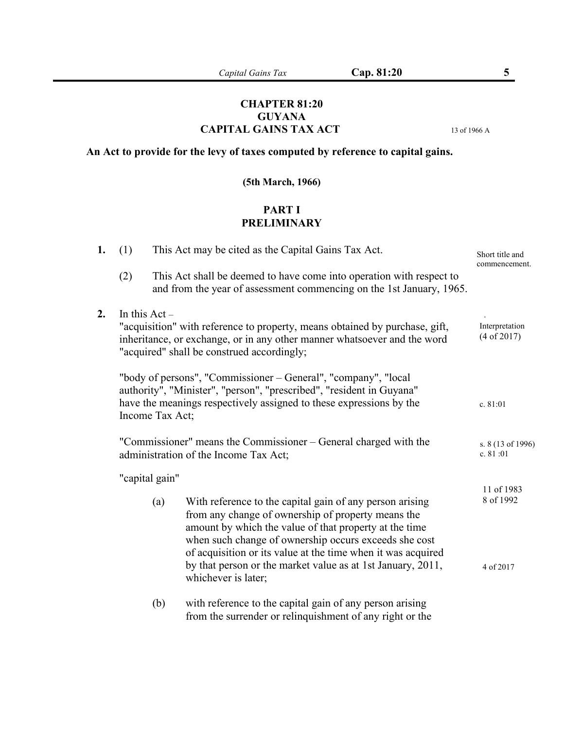## **CHAPTER 81:20 GUYANA CAPITAL GAINS TAX ACT** <sup>13</sup> of <sup>1966</sup> <sup>A</sup>

# **An Act to provide for the levy of taxes computed by reference to capital gains.**

## **(5th March, 1966)**

## **PART I PRELIMINARY**

| 1. | (1)                                                                                                                                                                                                                              |                               | This Act may be cited as the Capital Gains Tax Act.                                                                                                                                                                                                                                               | Short title and<br>commencement. |
|----|----------------------------------------------------------------------------------------------------------------------------------------------------------------------------------------------------------------------------------|-------------------------------|---------------------------------------------------------------------------------------------------------------------------------------------------------------------------------------------------------------------------------------------------------------------------------------------------|----------------------------------|
|    | (2)                                                                                                                                                                                                                              |                               | This Act shall be deemed to have come into operation with respect to<br>and from the year of assessment commencing on the 1st January, 1965.                                                                                                                                                      |                                  |
| 2. | In this $Act -$<br>"acquisition" with reference to property, means obtained by purchase, gift,<br>inheritance, or exchange, or in any other manner whatsoever and the word<br>"acquired" shall be construed accordingly;         | Interpretation<br>(4 of 2017) |                                                                                                                                                                                                                                                                                                   |                                  |
|    | "body of persons", "Commissioner – General", "company", "local<br>authority", "Minister", "person", "prescribed", "resident in Guyana"<br>have the meanings respectively assigned to these expressions by the<br>Income Tax Act; |                               |                                                                                                                                                                                                                                                                                                   | c. 81:01                         |
|    | "Commissioner" means the Commissioner – General charged with the<br>administration of the Income Tax Act;                                                                                                                        |                               |                                                                                                                                                                                                                                                                                                   | s. 8 (13 of 1996)<br>c. 81:01    |
|    |                                                                                                                                                                                                                                  | "capital gain"                |                                                                                                                                                                                                                                                                                                   |                                  |
|    |                                                                                                                                                                                                                                  | (a)                           | With reference to the capital gain of any person arising<br>from any change of ownership of property means the<br>amount by which the value of that property at the time<br>when such change of ownership occurs exceeds she cost<br>of acquisition or its value at the time when it was acquired | 11 of 1983<br>8 of 1992          |
|    |                                                                                                                                                                                                                                  |                               | by that person or the market value as at 1st January, 2011,<br>whichever is later;                                                                                                                                                                                                                | 4 of 2017                        |
|    |                                                                                                                                                                                                                                  | (b)                           | with reference to the capital gain of any person arising<br>from the surrender or relinquishment of any right or the                                                                                                                                                                              |                                  |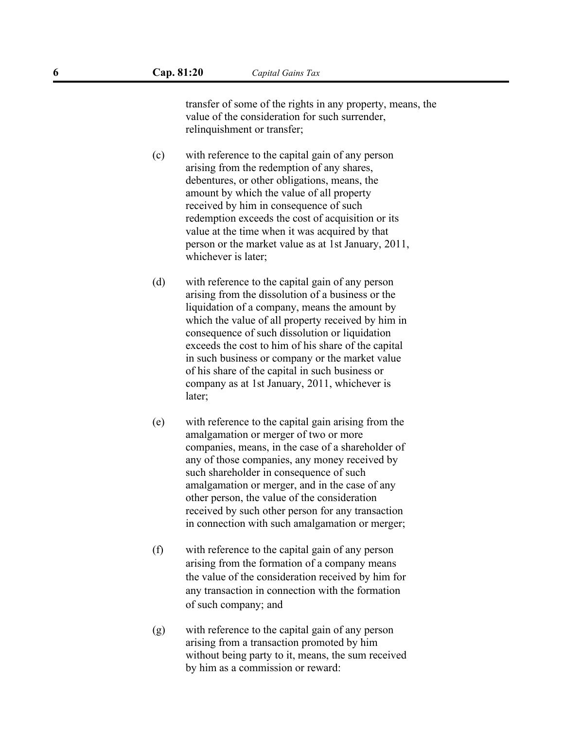transfer of some of the rights in any property, means, the value of the consideration for such surrender, relinquishment or transfer;

- (c) with reference to the capital gain of any person arising from the redemption of any shares, debentures, or other obligations, means, the amount by which the value of all property received by him in consequence of such redemption exceeds the cost of acquisition or its value at the time when it was acquired by that person or the market value as at 1st January, 2011, whichever is later;
- (d) with reference to the capital gain of any person arising from the dissolution of a business or the liquidation of a company, means the amount by which the value of all property received by him in consequence of such dissolution or liquidation exceeds the cost to him of his share of the capital in such business or company or the market value of his share of the capital in such business or company as at 1st January, 2011, whichever is later;
- (e) with reference to the capital gain arising from the amalgamation or merger of two or more companies, means, in the case of a shareholder of any of those companies, any money received by such shareholder in consequence of such amalgamation or merger, and in the case of any other person, the value of the consideration received by such other person for any transaction in connection with such amalgamation or merger;
- (f) with reference to the capital gain of any person arising from the formation of a company means the value of the consideration received by him for any transaction in connection with the formation of such company; and
- (g) with reference to the capital gain of any person arising from a transaction promoted by him without being party to it, means, the sum received by him as a commission or reward: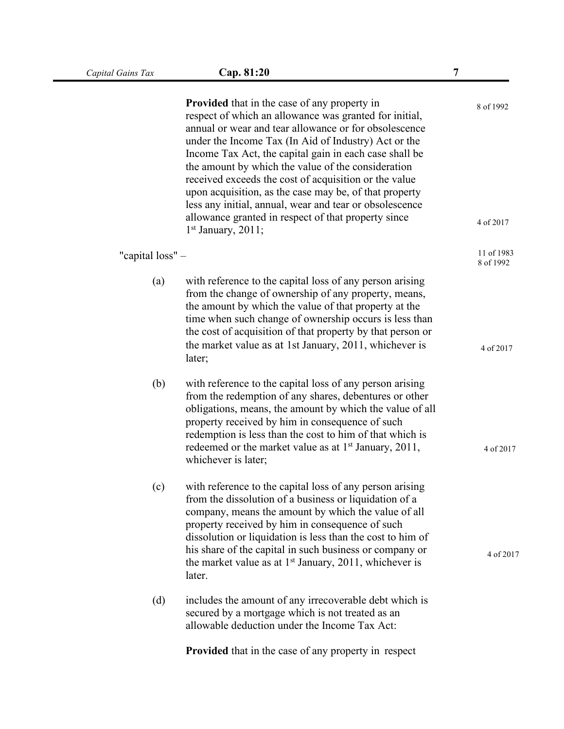|                  | <b>Provided</b> that in the case of any property in<br>respect of which an allowance was granted for initial,<br>annual or wear and tear allowance or for obsolescence<br>under the Income Tax (In Aid of Industry) Act or the<br>Income Tax Act, the capital gain in each case shall be<br>the amount by which the value of the consideration<br>received exceeds the cost of acquisition or the value<br>upon acquisition, as the case may be, of that property<br>less any initial, annual, wear and tear or obsolescence | 8 of 1992 |
|------------------|------------------------------------------------------------------------------------------------------------------------------------------------------------------------------------------------------------------------------------------------------------------------------------------------------------------------------------------------------------------------------------------------------------------------------------------------------------------------------------------------------------------------------|-----------|
|                  | allowance granted in respect of that property since<br>$1st$ January, 2011;                                                                                                                                                                                                                                                                                                                                                                                                                                                  | 4 of 2017 |
| "capital loss" - | 11 of 1983<br>8 of 1992                                                                                                                                                                                                                                                                                                                                                                                                                                                                                                      |           |
| (a)              | with reference to the capital loss of any person arising<br>from the change of ownership of any property, means,<br>the amount by which the value of that property at the<br>time when such change of ownership occurs is less than<br>the cost of acquisition of that property by that person or<br>the market value as at 1st January, 2011, whichever is                                                                                                                                                                  | 4 of 2017 |
|                  | later;                                                                                                                                                                                                                                                                                                                                                                                                                                                                                                                       |           |
| (b)              | with reference to the capital loss of any person arising<br>from the redemption of any shares, debentures or other<br>obligations, means, the amount by which the value of all<br>property received by him in consequence of such<br>redemption is less than the cost to him of that which is<br>redeemed or the market value as at 1 <sup>st</sup> January, 2011,<br>whichever is later;                                                                                                                                    | 4 of 2017 |
| (c)              | with reference to the capital loss of any person arising<br>from the dissolution of a business or liquidation of a<br>company, means the amount by which the value of all<br>property received by him in consequence of such<br>dissolution or liquidation is less than the cost to him of<br>his share of the capital in such business or company or<br>the market value as at $1st$ January, 2011, whichever is<br>later.                                                                                                  | 4 of 2017 |
| (d)              | includes the amount of any irrecoverable debt which is                                                                                                                                                                                                                                                                                                                                                                                                                                                                       |           |
|                  | secured by a mortgage which is not treated as an<br>allowable deduction under the Income Tax Act:                                                                                                                                                                                                                                                                                                                                                                                                                            |           |
|                  | <b>Provided</b> that in the case of any property in respect                                                                                                                                                                                                                                                                                                                                                                                                                                                                  |           |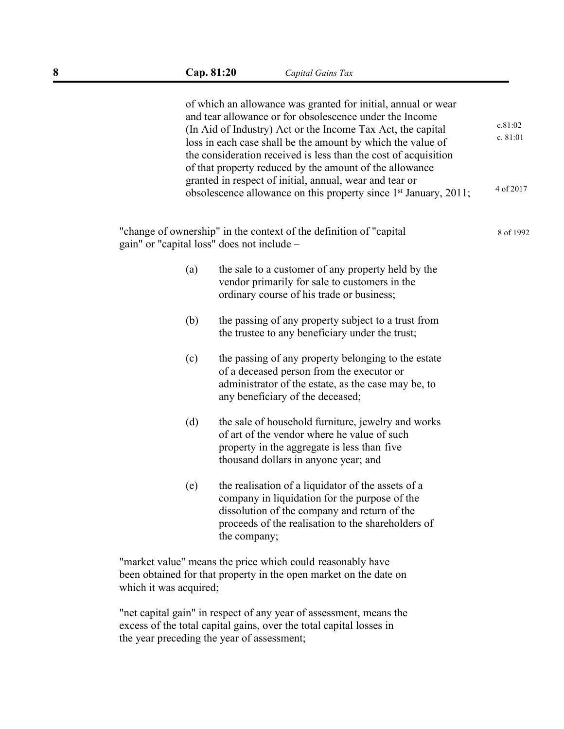|     | of which an allowance was granted for initial, annual or wear<br>and tear allowance or for obsolescence under the Income<br>c.81:02<br>(In Aid of Industry) Act or the Income Tax Act, the capital<br>c. 81:01<br>loss in each case shall be the amount by which the value of<br>the consideration received is less than the cost of acquisition<br>of that property reduced by the amount of the allowance<br>granted in respect of initial, annual, wear and tear or<br>4 of 2017<br>obsolescence allowance on this property since 1 <sup>st</sup> January, 2011; |           |  |
|-----|---------------------------------------------------------------------------------------------------------------------------------------------------------------------------------------------------------------------------------------------------------------------------------------------------------------------------------------------------------------------------------------------------------------------------------------------------------------------------------------------------------------------------------------------------------------------|-----------|--|
|     | "change of ownership" in the context of the definition of "capital"<br>gain" or "capital loss" does not include -                                                                                                                                                                                                                                                                                                                                                                                                                                                   | 8 of 1992 |  |
| (a) | the sale to a customer of any property held by the<br>vendor primarily for sale to customers in the<br>ordinary course of his trade or business;                                                                                                                                                                                                                                                                                                                                                                                                                    |           |  |
| (b) | the passing of any property subject to a trust from<br>the trustee to any beneficiary under the trust;                                                                                                                                                                                                                                                                                                                                                                                                                                                              |           |  |
| (c) | the passing of any property belonging to the estate<br>of a deceased person from the executor or<br>administrator of the estate, as the case may be, to<br>any beneficiary of the deceased;                                                                                                                                                                                                                                                                                                                                                                         |           |  |
| (d) | the sale of household furniture, jewelry and works<br>of art of the vendor where he value of such<br>property in the aggregate is less than five<br>thousand dollars in anyone year; and                                                                                                                                                                                                                                                                                                                                                                            |           |  |
| (e) | the realisation of a liquidator of the assets of a<br>company in liquidation for the purpose of the<br>dissolution of the company and return of the<br>proceeds of the realisation to the shareholders of<br>the company;                                                                                                                                                                                                                                                                                                                                           |           |  |

"market value" means the price which could reasonably have been obtained for that property in the open market on the date on which it was acquired;

"net capital gain" in respect of any year of assessment, means the excess of the total capital gains, over the total capital losses in the year preceding the year of assessment;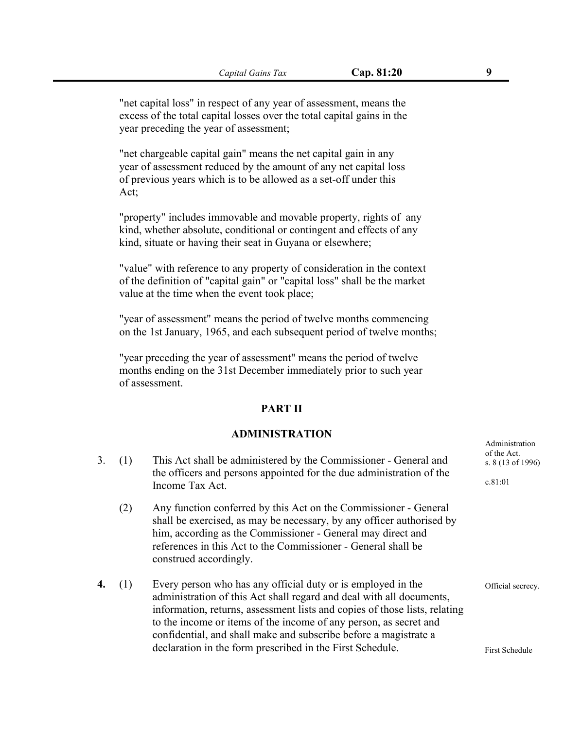"net capital loss" in respect of any year of assessment, means the excess of the total capital losses over the total capital gains in the year preceding the year of assessment;

"net chargeable capital gain" means the net capital gain in any year of assessment reduced by the amount of any net capital loss of previous years which is to be allowed as a set-off under this Act;

"property" includes immovable and movable property, rights of any kind, whether absolute, conditional or contingent and effects of any kind, situate or having their seat in Guyana or elsewhere;

"value" with reference to any property of consideration in the context of the definition of "capital gain" or "capital loss" shall be the market value at the time when the event took place;

"year of assessment" means the period of twelve months commencing on the 1st January, 1965, and each subsequent period of twelve months;

"year preceding the year of assessment" means the period of twelve months ending on the 31st December immediately prior to such year of assessment.

#### **PART II**

#### **ADMINISTRATION**

- 3. (1) This Act shall be administered by the Commissioner General and the officers and persons appointed for the due administration of the Income Tax Act.<br>(2) Any function conferred by this Act on the Commissioner - General
	- shall be exercised, as may be necessary, by any officer authorised by him, according as the Commissioner - General may direct and references in this Act to the Commissioner - General shall be construed accordingly.
- **4.** (1) Every person who has any official duty or is employed in the administration of this Act shall regard and deal with all documents, information, returns, assessment lists and copies of those lists, relating to the income or items of the income of any person, as secret and confidential, and shall make and subscribe before a magistrate a declaration in the form prescribed in the First Schedule.

Administration of the Act. s. 8 (13 of 1996)

c.81:01

First Schedule

Official secrecy.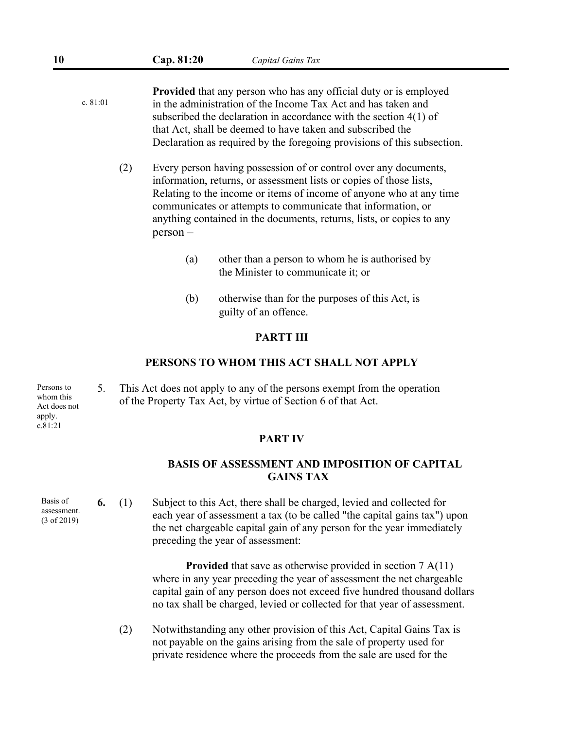- **Provided** that any person who has any official duty or is employed in the administration of the Income Tax Act and has taken and subscribed the declaration in accordance with the section 4(1) of that Act, shall be deemed to have taken and subscribed the Declaration as required by the foregoing provisions of this subsection. c. 81:01
	- (2) Every person having possession of or control over any documents, information, returns, or assessment lists or copies of those lists, Relating to the income or items of income of anyone who at any time communicates orattempts to communicate that information, or anything contained in the documents, returns, lists, or copies to any person –
		- (a) other than a person to whom he is authorised by the Minister to communicate it; or
		- (b) otherwise than for the purposes of this Act, is guilty of an offence.

#### **PARTT III**

#### **PERSONS TO WHOM THIS ACT SHALL NOT APPLY**

5. This Act does not apply to any of the persons exempt from the operation Persons to whom this of the Property Tax Act, by virtue of Section 6 of that Act.

#### **PART IV**

#### **BASIS OF ASSESSMENT AND IMPOSITION OF CAPITAL GAINS TAX**

**6.** (1) Subject to this Act, there shall be charged, levied and collected for each year of assessment a tax (to be called "the capital gains tax") upon the net chargeable capital gain of any person for the year immediately preceding the year of assessment:

> **Provided** that save as otherwise provided in section 7 A(11) where in any year preceding the year of assessment the net chargeable capital gain of any person does not exceed five hundred thousand dollars no tax shall be charged, levied or collected for that year of assessment.

(2) Notwithstanding any other provision of this Act,Capital Gains Tax is not payable on the gains arising from the sale of property used for private residence where the proceeds from the sale are used for the

Act does not apply. c.81:21

> Basis of<br>assessment. (3 of 2019)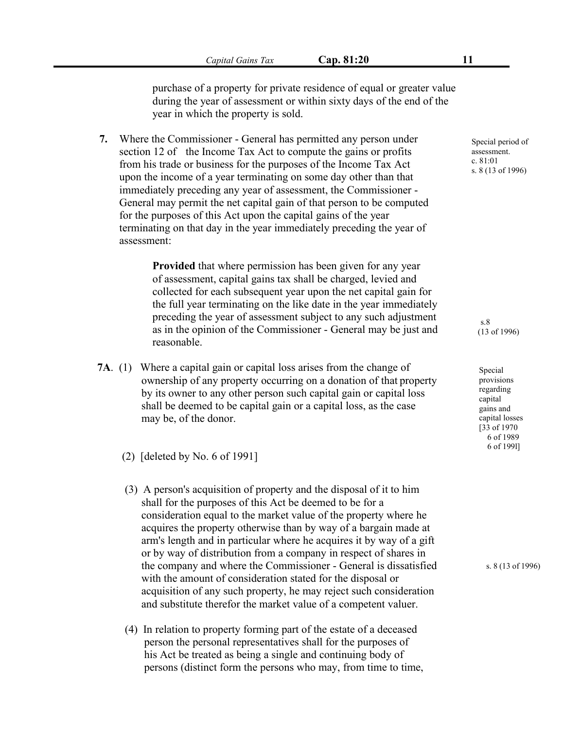purchase of a property for private residence of equal or greater value during the year of assessment or within sixty days of the end of the year in which the property is sold.

**7.** Where the Commissioner - General has permitted any person under section 12 of the Income Tax Act to compute the gains or profits from his trade or business for the purposes of the Income Tax Act upon the income of a year terminating on some day other than that immediately preceding any year of assessment, the Commissioner - General may permit the net capital gain of that person to be computed for the purposes of this Act upon the capital gains of the year terminating on that day in the year immediately preceding the year of assessment:

> **Provided** that where permission has been given for any year of assessment, capital gains tax shall be charged, levied and collected for each subsequent year upon the net capital gain for the full year terminating on the like date in the year immediately preceding the year of assessment subject to any such adjustment as in the opinion of the Commissioner - General may be just and reasonable.

- **7A**. (1) Where a capital gain or capital loss arises from the change of ownership of any property occurring on a donation of that property by its owner to any other person such capital gain or capital loss shall be deemed to be capital gain or a capital loss, as the case may be, of the donor.
	- (2) [deleted by No. 6 of 1991]
	- (3) A person's acquisition of property and the disposal of it to him shall for the purposes of this Act be deemed to be for a consideration equal to the market value of the property where he acquires the property otherwise than by way of a bargain made at arm's length and in particular where he acquires it by way of a gift or by way of distribution from a company in respect of shares in the company and where the Commissioner - General is dissatisfied with the amount of consideration stated for the disposal or acquisition of any such property, he may reject such consideration and substitute therefor the market value of a competent valuer.
	- (4) In relation to property forming part of the estate of a deceased person the personal representatives shall for the purposes of his Act be treated as being a single and continuing body of persons (distinct form the persons who may, from time to time,

Special period of assessment. c. 81:01 s. 8 (13 of 1996)

> s.8 (13 of 1996)

Special provisions regarding capital gains and capital losses [33 of 1970 6 of 1989 6 of 199l]

s. 8 (13 of 1996)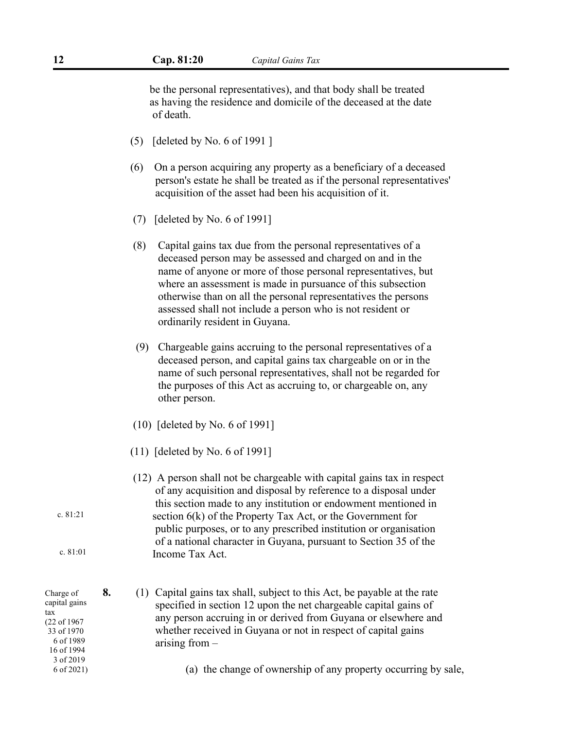be the personal representatives), and that body shall be treated as having the residence and domicile of the deceased at the date of death.

- (5) [deleted by No. 6 of 1991 ]
- (6) On a person acquiring any property as a beneficiary of a deceased person's estate he shall be treated as if the personal representatives' acquisition of the asset had been his acquisition of it.
- (7) [deleted by No. 6 of 1991]
- $(8)$  Capital gains tax due from the personal representatives of a deceased person may be assessed and charged on and in the name of anyone or more of those personal representatives, but where an assessment is made in pursuance of this subsection otherwise than on all the personal representatives the persons assessed shall not include a person who is not resident or ordinarily resident in Guyana.
- (9) Chargeable gains accruing to the personal representatives of a deceased person, and capital gains tax chargeable on or in the name of such personal representatives, shall not be regarded for the purposes of this Act as accruing to, or chargeable on, any other person.
- (10) [deleted by No. 6 of 1991]
- (11) [deleted by No. 6 of 1991]
- (12) A person shall not be chargeable with capital gains tax in respect of any acquisition and disposal by reference to a disposalunder this section made to any institution or endowment mentioned in section 6(k) of the Property Tax Act, or the Government for public purposes, or to any prescribed institution or organisation of a national character in Guyana, pursuant to Section 35 of the Income Tax Act.

Charge of capital gains tax (22 of 1967 33 of 1970 6 of 1989 16 of 1994 3 of 2019 6 of 2021)

c. 81:21

c. 81:01

- **8.** (1) Capital gains tax shall, subject to this Act, be payable at the rate specified in section 12 upon the net chargeable capital gains of any person accruing in or derived from Guyana or elsewhere and whether received in Guyana or not in respect of capital gains arising from –
	- (a) the change of ownership of any property occurring by sale,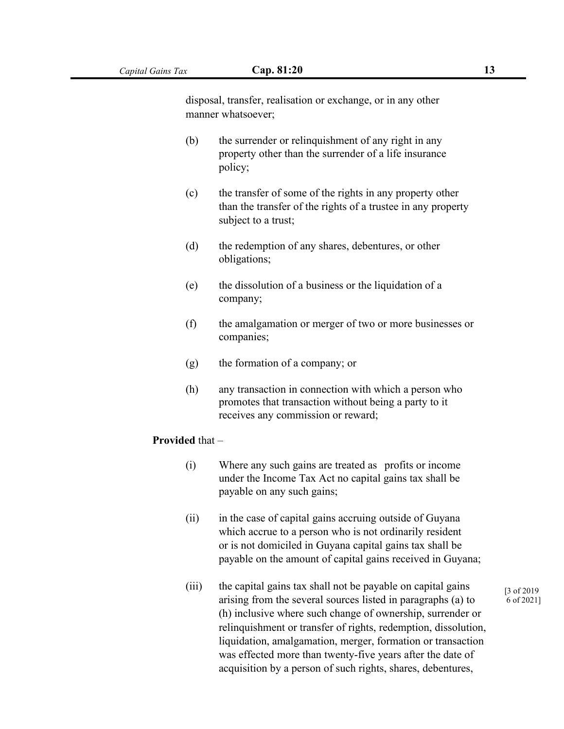disposal, transfer, realisation or exchange, or in any other manner whatsoever;

- (b) the surrender or relinquishment of any right in any property other than the surrender of a life insurance policy;
- (c) the transfer of some of the rights in any property other than the transfer of the rights of a trustee in any property subject to a trust;
- (d) the redemption of any shares, debentures, or other obligations;
- $(e)$  the dissolution of a business or the liquidation of a company;
- (f) the amalgamation or merger of two or more businesses or companies;
- (g) the formation of a company; or
- (h) any transaction in connection with which a person who promotes that transaction without being a party to it receives any commission or reward;

#### **Provided** that –

- (i) Where any such gains are treated as profits or income under the Income Tax Act no capital gains tax shall be payable on any such gains;
- (ii) in the case of capital gains accruing outside of Guyana which accrue to a person who is not ordinarily resident or is not domiciled in Guyana capital gains tax shall be payable on the amount of capital gains received in Guyana;
- (iii) the capital gains tax shall not be payable on capital gains arising from the several sources listed in paragraphs (a) to (h) inclusive where such change of ownership, surrender or relinquishment or transfer of rights, redemption, dissolution, liquidation, amalgamation, merger, formation or transaction was effected more than twenty-five years after the date of acquisition by a person of such rights, shares, debentures,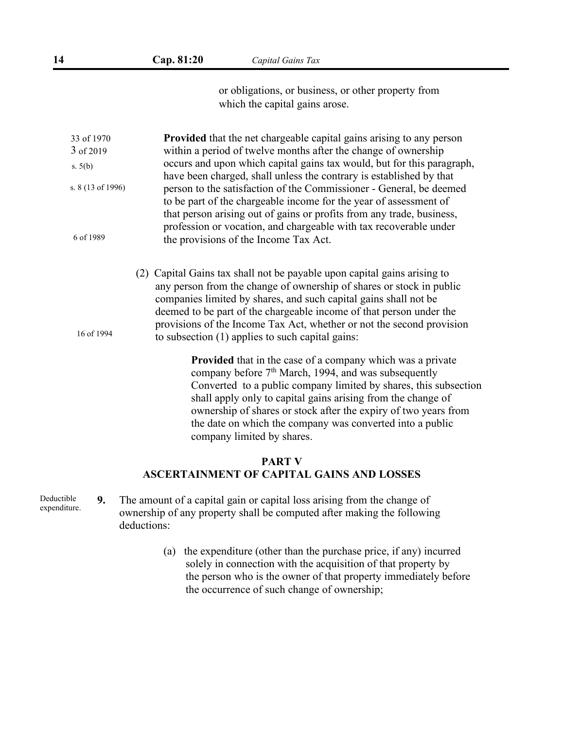or obligations, or business, or other property from which the capital gains arose.

**Provided** that the net chargeable capital gains arising to any person within a period of twelve months after the change of ownership 3 of 2019 occurs and upon which capital gains tax would, but for this paragraph, have been charged, shall unless the contrary is established by that person to the satisfaction of the Commissioner - General, be deemed to be part of the chargeable income for the year of assessment of that person arising out of gains or profits from any trade, business, profession or vocation, and chargeable with tax recoverable under the provisions of the Income Tax Act. (2) Capital Gains tax shall not be payable upon capital gains arising to any person from the change of ownership of shares or stock in public companies limited by shares, and such capital gains shall not be deemed to be part of the chargeable income of that person under the provisions of the Income Tax Act, whether or not the second provision to subsection (1) applies to such capital gains: 16 of 1994 **Provided** that in the case of a company which was a private company before 7 th March, 1994, and was subsequently Converted to a public company limited by shares, this subsection shall apply only to capital gains arising from the change of ownership of shares or stock after the expiry of two years from the date on which the company was converted into a public company limited by shares. 33 of 1970 s. 5(b) s. 8 (13 of 1996) 6 of 1989

#### **PART V ASCERTAINMENT OF CAPITAL GAINS AND LOSSES**

- **9.** The amount of a capital gain or capital loss arising from the change of ownership of any property shall be computed after making the following deductions: Deductible expenditure.
	- (a) the expenditure (other than the purchase price, if any) incurred solely in connection with the acquisition of that property by the person who is the owner of that property immediately before the occurrence of such change of ownership;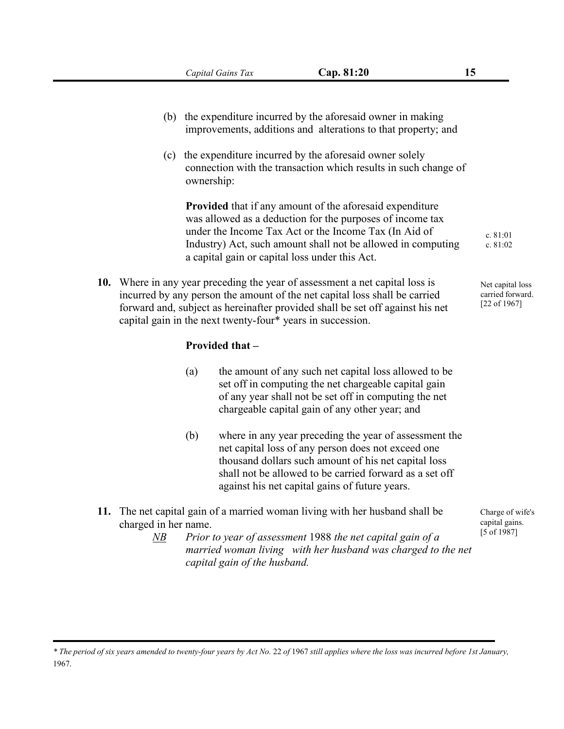- (b) the expenditure incurred by the aforesaid owner in making improvements, additions and alterations to that property; and
- (c) the expenditure incurred by the aforesaid owner solely connection with the transaction which results in such change of ownership:

**Provided** that if any amount of the aforesaid expenditure was allowed as a deduction for the purposes of income tax under the Income Tax Act or the Income Tax (In Aid of Industry) Act, such amount shall not be allowed in computing a capital gain or capital loss under this Act.

**10.** Where in any year preceding the year of assessment a net capital loss is incurred by any person the amount of the net capital loss shall be carried forward and, subject as hereinafter provided shall be set off against his net capital gain in the next twenty-four\* years in succession.

#### **Provided that –**

- (a) the amount of any such net capital loss allowed to be set off in computing the net chargeable capital gain of any year shall not be set off in computing the net chargeable capital gain of any other year; and
- (b) where in any year preceding the year of assessment the net capital loss of any person does not exceed one thousand dollars such amount of his net capital loss shall not be allowed to be carried forward as a set off against his net capital gains of future years.
- **11.** The net capital gain of a married woman living with her husband shall be charged in her name.
	- *NB Prior to year of assessment* 1988 *the net capital gain of a married woman living with her husband was charged to the net capital gain of the husband.*

c. 81:01 c. 81:02

Net capital loss carried forward. [22 of 1967]

Charge of wife's capital gains. [5 of 1987]

<sup>\*</sup> The period of six years amended to twenty-four years by Act No. 22 of 1967 still applies where the loss was incurred before 1st January, 1967.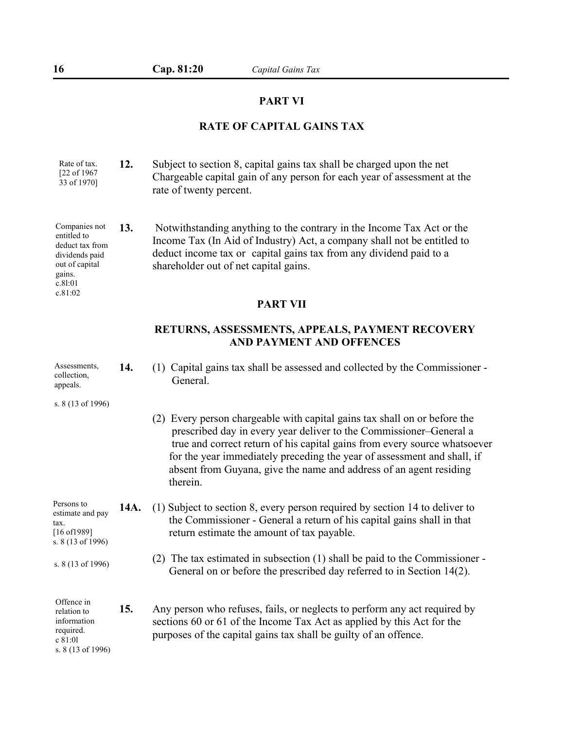#### **PART VI**

## **RATE OF CAPITAL GAINS TAX**

| Rate of tax.                | Subject to section 8, capital gains tax shall be charged upon the net    |  |
|-----------------------------|--------------------------------------------------------------------------|--|
| [22 of 1967]<br>33 of 1970] | Chargeable capital gain of any person for each year of assessment at the |  |
|                             | rate of twenty percent.                                                  |  |

**13.** Notwithstanding anything to the contrary in the Income Tax Act or the entitied to Income Tax (In Aid of Industry) Act, a company shall not be entitled to deduct income tax or capital gains tax from any dividend paid to a shareholder out of net capital gains. Companies not entitled to<br>deduct tax from dividends paid out of capital gains.

#### **PART VII**

## **RETURNS, ASSESSMENTS, APPEALS, PAYMENT RECOVERY AND PAYMENT AND OFFENCES**

| 14.  | Capital gains tax shall be assessed and collected by the Commissioner -<br>(1)<br>General.                                                                                                                                                                                                                                                                                                   |
|------|----------------------------------------------------------------------------------------------------------------------------------------------------------------------------------------------------------------------------------------------------------------------------------------------------------------------------------------------------------------------------------------------|
|      |                                                                                                                                                                                                                                                                                                                                                                                              |
|      | Every person chargeable with capital gains tax shall on or before the<br>(2)<br>prescribed day in every year deliver to the Commissioner–General a<br>true and correct return of his capital gains from every source whatsoever<br>for the year immediately preceding the year of assessment and shall, if<br>absent from Guyana, give the name and address of an agent residing<br>therein. |
| 14A. | (1) Subject to section 8, every person required by section 14 to deliver to<br>the Commissioner - General a return of his capital gains shall in that<br>return estimate the amount of tax payable.                                                                                                                                                                                          |
|      | (2) The tax estimated in subsection $(1)$ shall be paid to the Commissioner -<br>General on or before the prescribed day referred to in Section 14(2).                                                                                                                                                                                                                                       |
| 15.  | Any person who refuses, fails, or neglects to perform any act required by<br>sections 60 or 61 of the Income Tax Act as applied by this Act for the<br>purposes of the capital gains tax shall be guilty of an offence.                                                                                                                                                                      |
|      |                                                                                                                                                                                                                                                                                                                                                                                              |

c.8l:01 c.81:02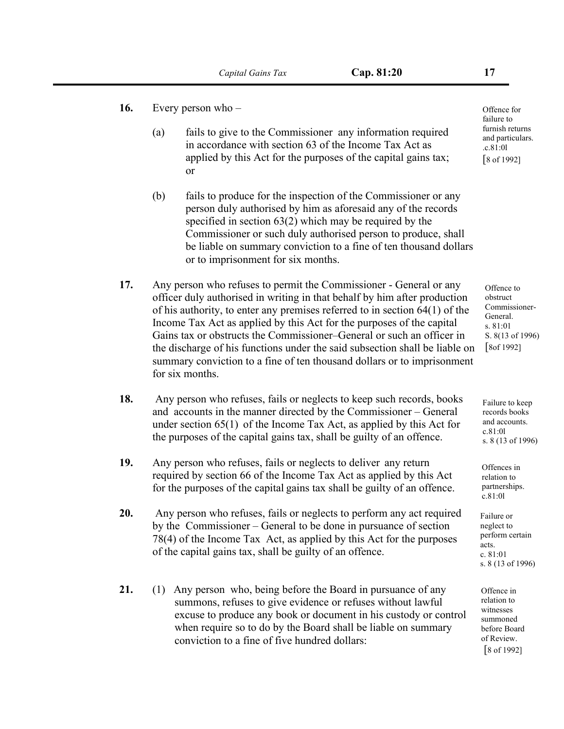- **16.** Every person who
	- (a) fails to give to the Commissioner any information required in accordance with section 63 of the Income Tax Act as applied by this Act for the purposes of the capital gains tax; or
	- (b) fails to produce for the inspection of the Commissioner or any person duly authorised by him as aforesaid any of the records specified in section 63(2) which may be required by the Commissioner or such duly authorised person to produce, shall be liable on summary conviction to a fine of ten thousand dollars or to imprisonment for six months.
- **17.** Any person who refuses to permit the Commissioner General or any officer duly authorised in writing in that behalf by him after production of his authority, to enter any premises referred to in section 64(1) of the Income Tax Act as applied by this Act for the purposes of the capital Gains tax or obstructs the Commissioner–General or such an officer in the discharge of his functions under the said subsection shall be liable on summary conviction to a fine of ten thousand dollars or to imprisonment for six months.
- **18.** Any person who refuses, fails or neglects to keep such records, books and accounts in the manner directed by the Commissioner – General under section 65(1) of the Income Tax Act, as applied by this Act for the purposes of the capital gains tax, shall be guilty of an offence.
- 19. Any person who refuses, fails or neglects to deliver any return required by section 66 of the Income Tax Act as applied by this Act for the purposes of the capital gains tax shall be guilty of an offence.
- **20.** Any person who refuses, fails or neglects to perform any act required by the Commissioner – General to be done in pursuance of section 78(4) of the Income Tax Act, as applied by this Act for the purposes of the capital gains tax, shall be guilty of an offence.
- **21.** (1) Any person who, being before the Board in pursuance of any summons, refuses to give evidence or refuses without lawful excuse to produce any book or document in his custody or control when require so to do by the Board shall be liable on summary conviction to a fine of five hundred dollars:

Offence for failure to furnish returns and particulars. .c.81:0l [8 of 1992]

Offence to obstruct Commissioner- General. s. 81:01 S. 8(13 of 1996) [8of 1992]

Failure to keep records books and accounts. c.81:0l s. 8 (13 of 1996)

Offences in relation to partnerships. c.81:0l

Failure or neglect to perform certain acts. c. 81:01 s. 8 (13 of 1996)

Offence in relation to witnesses summoned before Board of Review. [8 of 1992]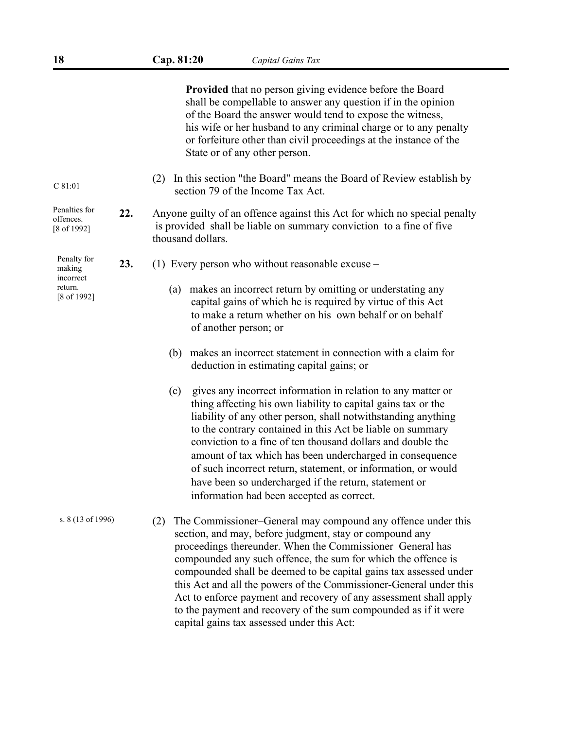|                                                                                                                                                                                                                           |     | <b>Provided</b> that no person giving evidence before the Board<br>shall be compellable to answer any question if in the opinion<br>of the Board the answer would tend to expose the witness,<br>his wife or her husband to any criminal charge or to any penalty<br>or forfeiture other than civil proceedings at the instance of the<br>State or of any other person.                                                                                                                                                                                                                       |  |
|---------------------------------------------------------------------------------------------------------------------------------------------------------------------------------------------------------------------------|-----|-----------------------------------------------------------------------------------------------------------------------------------------------------------------------------------------------------------------------------------------------------------------------------------------------------------------------------------------------------------------------------------------------------------------------------------------------------------------------------------------------------------------------------------------------------------------------------------------------|--|
| $C$ 81:01                                                                                                                                                                                                                 |     | In this section "the Board" means the Board of Review establish by<br>(2)<br>section 79 of the Income Tax Act.                                                                                                                                                                                                                                                                                                                                                                                                                                                                                |  |
| Penalties for<br>22.<br>Anyone guilty of an offence against this Act for which no special penalty<br>offences.<br>is provided shall be liable on summary conviction to a fine of five<br>[8 of 1992]<br>thousand dollars. |     |                                                                                                                                                                                                                                                                                                                                                                                                                                                                                                                                                                                               |  |
| Penalty for<br>making                                                                                                                                                                                                     | 23. | (1) Every person who without reasonable excuse $-$                                                                                                                                                                                                                                                                                                                                                                                                                                                                                                                                            |  |
| incorrect<br>return.<br>[8 of 1992]                                                                                                                                                                                       |     | makes an incorrect return by omitting or understating any<br>(a)<br>capital gains of which he is required by virtue of this Act<br>to make a return whether on his own behalf or on behalf<br>of another person; or                                                                                                                                                                                                                                                                                                                                                                           |  |
|                                                                                                                                                                                                                           |     | makes an incorrect statement in connection with a claim for<br>(b)<br>deduction in estimating capital gains; or                                                                                                                                                                                                                                                                                                                                                                                                                                                                               |  |
|                                                                                                                                                                                                                           |     | gives any incorrect information in relation to any matter or<br>(c)<br>thing affecting his own liability to capital gains tax or the<br>liability of any other person, shall notwithstanding anything<br>to the contrary contained in this Act be liable on summary<br>conviction to a fine of ten thousand dollars and double the<br>amount of tax which has been undercharged in consequence<br>of such incorrect return, statement, or information, or would<br>have been so undercharged if the return, statement or<br>information had been accepted as correct.                         |  |
| s. 8 (13 of 1996)                                                                                                                                                                                                         |     | The Commissioner–General may compound any offence under this<br>(2)<br>section, and may, before judgment, stay or compound any<br>proceedings thereunder. When the Commissioner-General has<br>compounded any such offence, the sum for which the offence is<br>compounded shall be deemed to be capital gains tax assessed under<br>this Act and all the powers of the Commissioner-General under this<br>Act to enforce payment and recovery of any assessment shall apply<br>to the payment and recovery of the sum compounded as if it were<br>capital gains tax assessed under this Act: |  |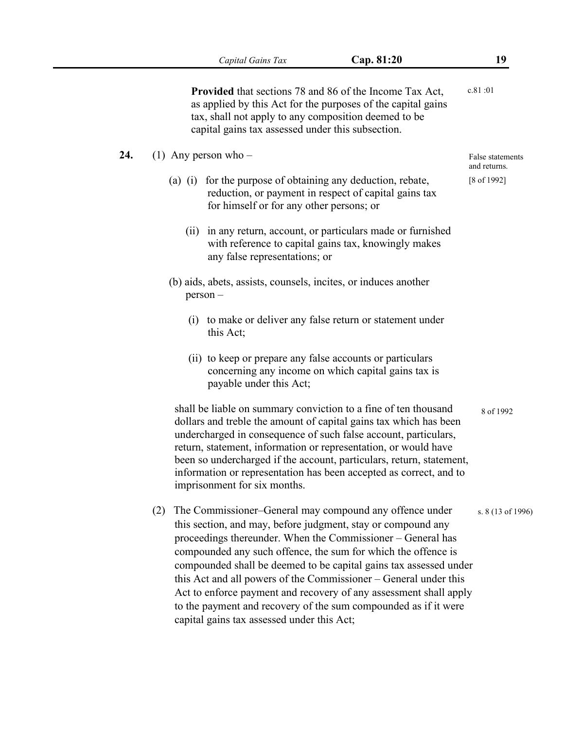**Provided** that sections 78 and 86 of the Income Tax Act, as applied by this Act for the purposes of the capital gains tax, shall not apply to any composition deemed to be capital gains tax assessed under this subsection. c.81 :01

- **24.** (1) Any person who
	- (a) (i) for the purpose of obtaining any deduction, rebate, reduction, or payment in respect of capital gains tax for himself or for any other persons; or
		- (ii) in any return, account, or particulars made or furnished with reference to capital gains tax, knowingly makes any false representations; or
	- (b) aids, abets, assists, counsels, incites, or induces another person –
		- (i) to make or deliver any false return or statement under this Act;
		- (ii) to keep or prepare any false accounts or particulars concerning any income on which capital gains tax is payable under this Act;

shall be liable on summary conviction to a fine of ten thousand dollars and treble the amount of capital gains tax which has been undercharged in consequence of such false account, particulars, return, statement, information or representation, or would have been so undercharged if the account, particulars, return, statement, information or representation has been accepted as correct, and to imprisonment for six months. 8 of 1992

(2) The Commissioner–General may compound any offence under this section, and may, before judgment, stay or compound any proceedings thereunder. When the Commissioner – General has compounded any such offence, the sum for which the offence is compounded shall be deemed to be capital gains tax assessed under this Act and all powers of the Commissioner – General under this Act to enforce payment and recovery of any assessment shall apply to the payment and recovery of the sum compounded as if it were capital gains tax assessed under this Act; s. 8 (13 of 1996)

False statements and returns. [8 of 1992]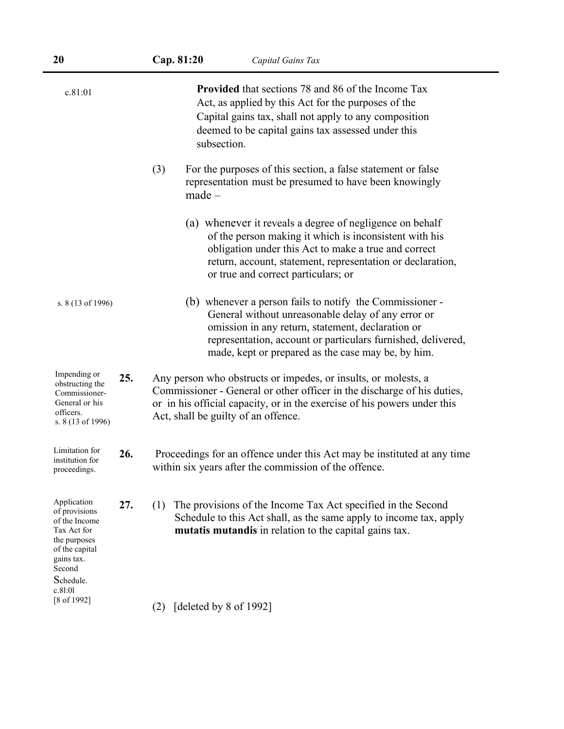| c.81:01                                                                                                                             |     | <b>Provided</b> that sections 78 and 86 of the Income Tax<br>Act, as applied by this Act for the purposes of the<br>Capital gains tax, shall not apply to any composition<br>deemed to be capital gains tax assessed under this<br>subsection.                                            |
|-------------------------------------------------------------------------------------------------------------------------------------|-----|-------------------------------------------------------------------------------------------------------------------------------------------------------------------------------------------------------------------------------------------------------------------------------------------|
|                                                                                                                                     |     | (3)<br>For the purposes of this section, a false statement or false<br>representation must be presumed to have been knowingly<br>$made -$                                                                                                                                                 |
|                                                                                                                                     |     | (a) whenever it reveals a degree of negligence on behalf<br>of the person making it which is inconsistent with his<br>obligation under this Act to make a true and correct<br>return, account, statement, representation or declaration,<br>or true and correct particulars; or           |
| s. 8 (13 of 1996)                                                                                                                   |     | (b) whenever a person fails to notify the Commissioner -<br>General without unreasonable delay of any error or<br>omission in any return, statement, declaration or<br>representation, account or particulars furnished, delivered,<br>made, kept or prepared as the case may be, by him. |
| Impending or<br>obstructing the<br>Commissioner-<br>General or his<br>officers.<br>s. 8 (13 of 1996)                                | 25. | Any person who obstructs or impedes, or insults, or molests, a<br>Commissioner - General or other officer in the discharge of his duties,<br>or in his official capacity, or in the exercise of his powers under this<br>Act, shall be guilty of an offence.                              |
| Limitation for<br>institution for<br>proceedings.                                                                                   | 26. | Proceedings for an offence under this Act may be instituted at any time<br>within six years after the commission of the offence.                                                                                                                                                          |
| Application<br>of provisions<br>of the Income<br>Tax Act for<br>the purposes<br>of the capital<br>gains tax.<br>Second<br>Schedule. | 27. | The provisions of the Income Tax Act specified in the Second<br>(1)<br>Schedule to this Act shall, as the same apply to income tax, apply<br>mutatis mutandis in relation to the capital gains tax.                                                                                       |
| c.81:01<br>$[8 \text{ of } 1992]$                                                                                                   |     | [deleted by 8 of 1992]<br>(2)                                                                                                                                                                                                                                                             |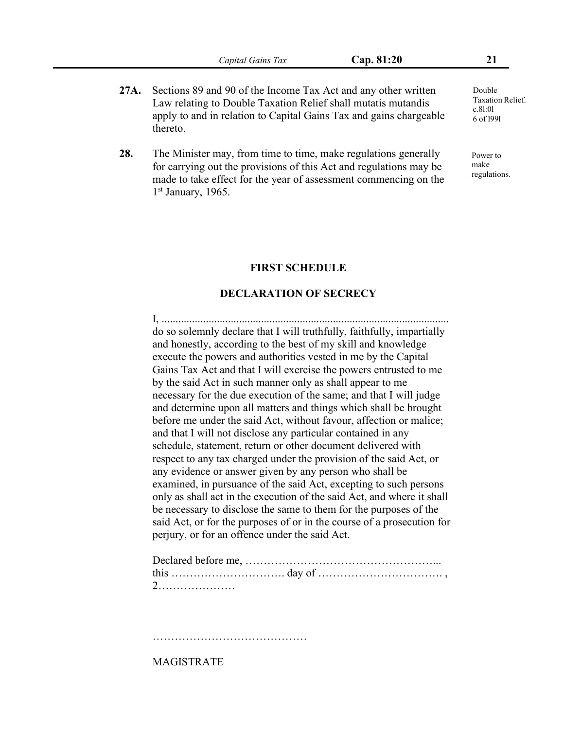- **27A.** Sections 89 and 90 of the Income Tax Act and any other written Law relating to Double Taxation Relief shall mutatis mutandis apply to and in relation to Capital Gains Tax and gains chargeable thereto.
- **28.** The Minister may, from time to time, make regulations generally for carrying out the provisions of this Act and regulations may be made to take effect for the year of assessment commencing on the 1 st January, 1965.

#### **FIRST SCHEDULE**

#### **DECLARATION OF SECRECY**

I, ........................................................................................................ do so solemnly declare that I will truthfully, faithfully, impartially and honestly, according to the best of my skill and knowledge execute the powers and authorities vested in me by the Capital Gains Tax Act and that I will exercise the powers entrusted to me by the said Act in such manner only as shall appear to me necessary for the due execution of the same; and that I will judge and determine upon all matters and things which shall be brought before me under the said Act, without favour, affection or malice; and that I will not disclose any particular contained in any schedule, statement, return or other document delivered with respect to any tax charged under the provision of the said Act, or any evidence or answer given by any person who shall be examined, in pursuance of the said Act, excepting to such persons only as shall act in the execution of the said Act, and where it shall be necessary to disclose the same to them for the purposes of the said Act, or for the purposes of or in the course of a prosecution for perjury, or for an offence under the said Act.

……………………………………………………………

MAGISTRATE

Double Taxation Relief. c.8l:0l 6 of l99l

Power to make regulations.